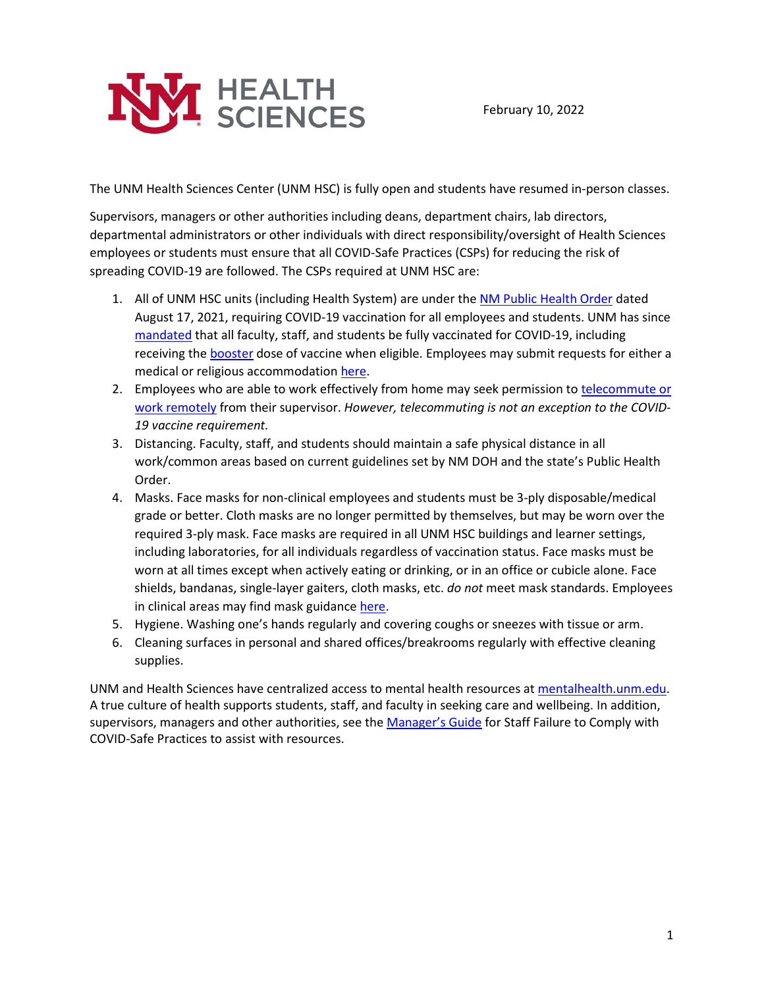

The UNM Health Sciences Center (UNM HSC) is fully open and students have resumed in-person classes.

Supervisors, managers or other authorities including deans, department chairs, lab directors, departmental administrators or other individuals with direct responsibility/oversight of Health Sciences employees or students must ensure that all COVID-Safe Practices (CSPs) for reducing the risk of spreading COVID-19 are followed. The CSPs required at UNM HSC are:

- 1. All of UNM HSC units (including Health System) are under th[e NM Public Health Order](https://cv.nmhealth.org/wp-content/uploads/2021/08/081721-PHO-Vaccines.pdf) dated August 17, 2021, requiring COVID-19 vaccination for all employees and students. UNM has since [mandated](https://bringbackthepack.unm.edu/vaccine/vaccine-requirement.html) that all faculty, staff, and students be fully vaccinated for COVID-19, including receiving the [booster](https://bringbackthepack.unm.edu/vaccine/vaccine-requirement.html) dose of vaccine when eligible. Employees may submit requests for either a medical or religious accommodation [here.](https://bringbackthepack.unm.edu/vaccine/vaccine-requirement-exemption-forms.html)
- 2. Employees who are able to work effectively from home may seek permission to telecommute or [work remotely](https://hr.unm.edu/remote-work) from their supervisor. *However, telecommuting is not an exception to the COVID-19 vaccine requirement.*
- 3. Distancing. Faculty, staff, and students should maintain a safe physical distance in all work/common areas based on current guidelines set by NM DOH and the state's Public Health Order.
- 4. Masks. Face masks for non-clinical employees and students must be 3-ply disposable/medical grade or better. Cloth masks are no longer permitted by themselves, but may be worn over the required 3-ply mask. Face masks are required in all UNM HSC buildings and learner settings, including laboratories, for all individuals regardless of vaccination status. Face masks must be worn at all times except when actively eating or drinking, or in an office or cubicle alone. Face shields, bandanas, single-layer gaiters, cloth masks, etc. *do not* meet mask standards. Employees in clinical areas may find mask guidanc[e here.](https://mcusercontent.com/59ce53c1a4dedb490bac78648/files/cd6c5a35-9911-0c19-df2a-dedb8c75328f/Updated_Guidance_from_the_PPE_Committee_Comm_1.13.22_v6.pdf)
- 5. Hygiene. Washing one's hands regularly and covering coughs or sneezes with tissue or arm.
- 6. Cleaning surfaces in personal and shared offices/breakrooms regularly with effective cleaning supplies.

UNM and Health Sciences have centralized access to mental health resources at [mentalhealth.unm.edu.](https://mentalhealth.unm.edu/) A true culture of health supports students, staff, and faculty in seeking care and wellbeing. In addition, supervisors, managers and other authorities, see the [Manager's Guide](https://bringbackthepack.unm.edu/employees/non-compliance-with-csps-staff.html) for Staff Failure to Comply with COVID-Safe Practices to assist with resources.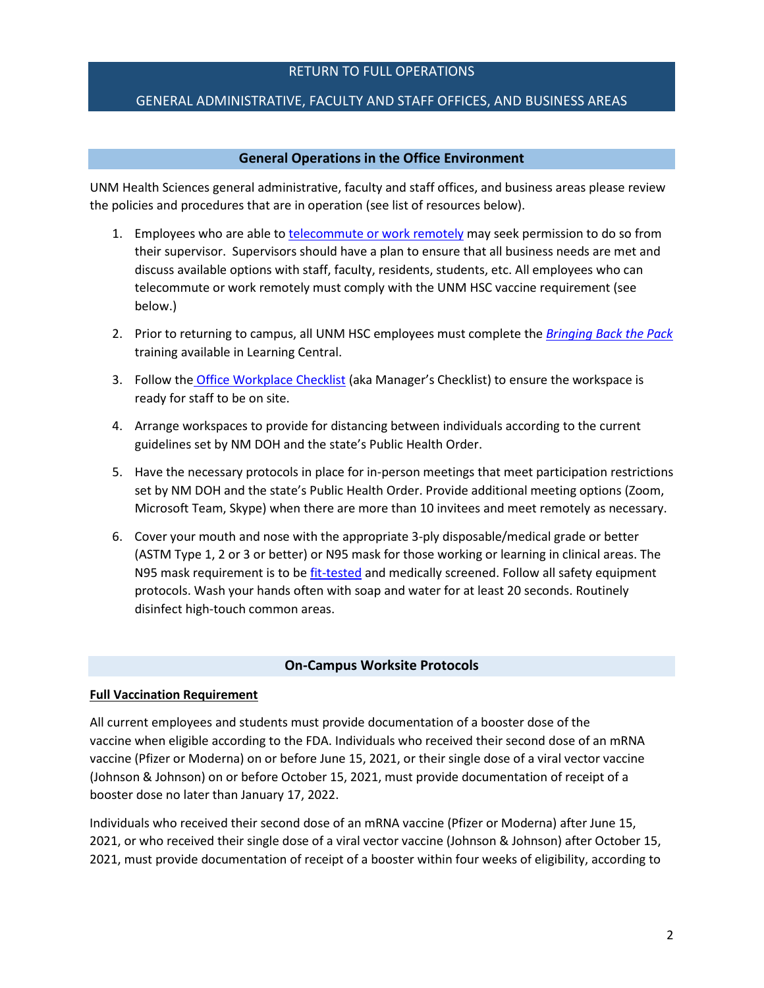#### RETURN TO FULL OPERATIONS

#### GENERAL ADMINISTRATIVE, FACULTY AND STAFF OFFICES, AND BUSINESS AREAS

#### **General Operations in the Office Environment**

UNM Health Sciences general administrative, faculty and staff offices, and business areas please review the policies and procedures that are in operation (see list of resources below).

- 1. Employees who are able to [telecommute or work remotely](https://hr.unm.edu/remote-work) may seek permission to do so from their supervisor. Supervisors should have a plan to ensure that all business needs are met and discuss available options with staff, faculty, residents, students, etc. All employees who can telecommute or work remotely must comply with the UNM HSC vaccine requirement (see below.)
- 2. Prior to returning to campus, all UNM HSC employees must complete the *[Bringing Back the Pack](https://learningcentral.unm.edu/)* training available in Learning Central.
- 3. Follow the [Office Workplace Checklist](https://hsc.unm.edu/covid-19/returning.html) (aka Manager's Checklist) to ensure the workspace is ready for staff to be on site.
- 4. Arrange workspaces to provide for distancing between individuals according to the current guidelines set by NM DOH and the state's Public Health Order.
- 5. Have the necessary protocols in place for in-person meetings that meet participation restrictions set by NM DOH and the state's Public Health Order. Provide additional meeting options (Zoom, Microsoft Team, Skype) when there are more than 10 invitees and meet remotely as necessary.
- 6. Cover your mouth and nose with the appropriate 3-ply disposable/medical grade or better (ASTM Type 1, 2 or 3 or better) or N95 mask for those working or learning in clinical areas. The N95 mask requirement is to b[e fit-tested](https://mcusercontent.com/59ce53c1a4dedb490bac78648/files/cd6c5a35-9911-0c19-df2a-dedb8c75328f/Updated_Guidance_from_the_PPE_Committee_Comm_1.13.22_v6.pdf) and medically screened. Follow all safety equipment protocols. Wash your hands often with soap and water for at least 20 seconds. Routinely disinfect high-touch common areas.

#### **On-Campus Worksite Protocols**

#### **Full Vaccination Requirement**

All current employees and students must provide documentation of a booster dose of the vaccine when eligible according to the FDA. Individuals who received their second dose of an mRNA vaccine (Pfizer or Moderna) on or before June 15, 2021, or their single dose of a viral vector vaccine (Johnson & Johnson) on or before October 15, 2021, must provide documentation of receipt of a booster dose no later than January 17, 2022.

Individuals who received their second dose of an mRNA vaccine (Pfizer or Moderna) after June 15, 2021, or who received their single dose of a viral vector vaccine (Johnson & Johnson) after October 15, 2021, must provide documentation of receipt of a booster within four weeks of eligibility, according to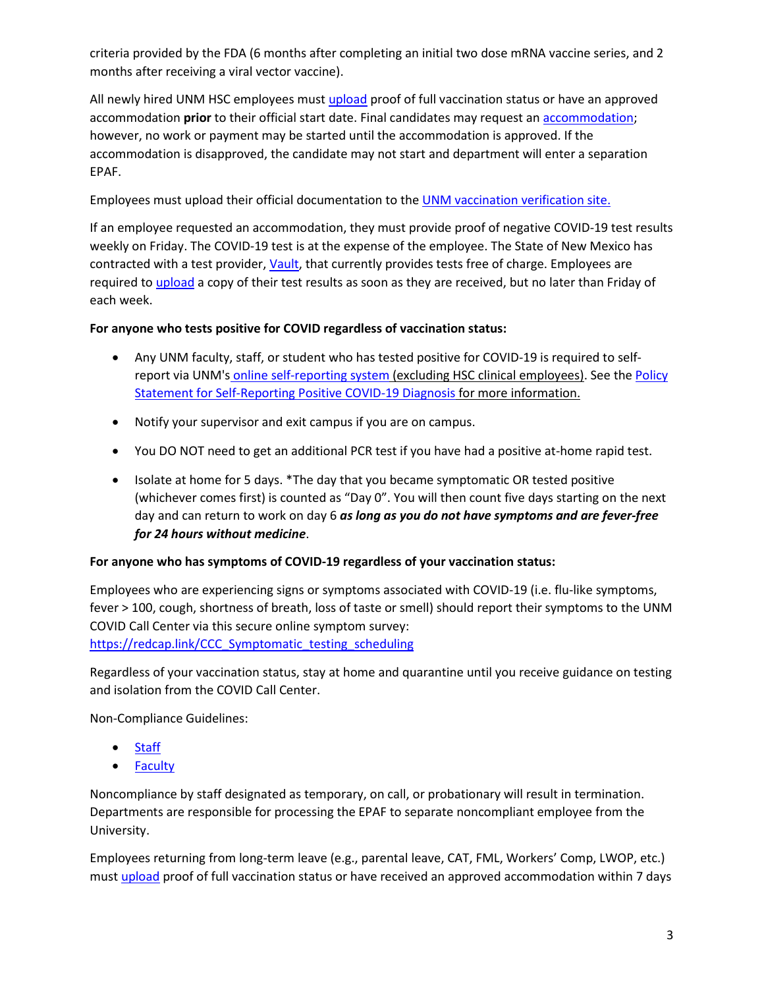criteria provided by the FDA (6 months after completing an initial two dose mRNA vaccine series, and 2 months after receiving a viral vector vaccine).

All newly hired UNM HSC employees must [upload](https://lobocheckin.unm.edu/checkin/svpfa/24) proof of full vaccination status or have an approved accommodation **prior** to their official start date. Final candidates may request an [accommodation;](https://bringbackthepack.unm.edu/vaccine/vaccine-requirement-exemption-forms.html) however, no work or payment may be started until the accommodation is approved. If the accommodation is disapproved, the candidate may not start and department will enter a separation EPAF.

Employees must upload their official documentation to th[e UNM vaccination verification site.](https://lobocheckin.unm.edu/checkin/svpfa/24)

If an employee requested an accommodation, they must provide proof of negative COVID-19 test results weekly on Friday. The COVID-19 test is at the expense of the employee. The State of New Mexico has contracted with a test provider, [Vault,](https://learn.vaulthealth.com/nm/) that currently provides tests free of charge. Employees are required to [upload](https://lobocheckin.unm.edu/checkin/svpfa/24) a copy of their test results as soon as they are received, but no later than Friday of each week.

# **For anyone who tests positive for COVID regardless of vaccination status:**

- Any UNM faculty, staff, or student who has tested positive for COVID-19 is required to selfreport via UNM's [online self-reporting system](https://hr.unm.edu/self-report) (excluding HSC clinical employees). See the Policy [Statement for Self-Reporting Positive COVID-19 Diagnosis](https://bringbackthepack.unm.edu/employees/self-reporting-covid-19-diagnosis-policy.html) for more information.
- Notify your supervisor and exit campus if you are on campus.
- You DO NOT need to get an additional PCR test if you have had a positive at-home rapid test.
- Isolate at home for 5 days. \*The day that you became symptomatic OR tested positive (whichever comes first) is counted as "Day 0". You will then count five days starting on the next day and can return to work on day 6 *as long as you do not have symptoms and are fever-free for 24 hours without medicine*.

# **For anyone who has symptoms of COVID-19 regardless of your vaccination status:**

Employees who are experiencing signs or symptoms associated with COVID-19 (i.e. flu-like symptoms, fever > 100, cough, shortness of breath, loss of taste or smell) should report their symptoms to the UNM COVID Call Center via this secure online symptom survey: [https://redcap.link/CCC\\_Symptomatic\\_testing\\_scheduling](https://redcap.link/CCC_Symptomatic_testing_scheduling)

Regardless of your vaccination status, stay at home and quarantine until you receive guidance on testing and isolation from the COVID Call Center.

Non-Compliance Guidelines:

- [Staff](https://bringbackthepack.unm.edu/employees/non-compliance-with-csps-staff.html)
- [Faculty](https://bringbackthepack.unm.edu/employees/non-compliance-with-csps-faculty.html)

Noncompliance by staff designated as temporary, on call, or probationary will result in termination. Departments are responsible for processing the EPAF to separate noncompliant employee from the University.

Employees returning from long-term leave (e.g., parental leave, CAT, FML, Workers' Comp, LWOP, etc.) must [upload](https://lobocheckin.unm.edu/checkin/svpfa/24) proof of full vaccination status or have received an approved accommodation within 7 days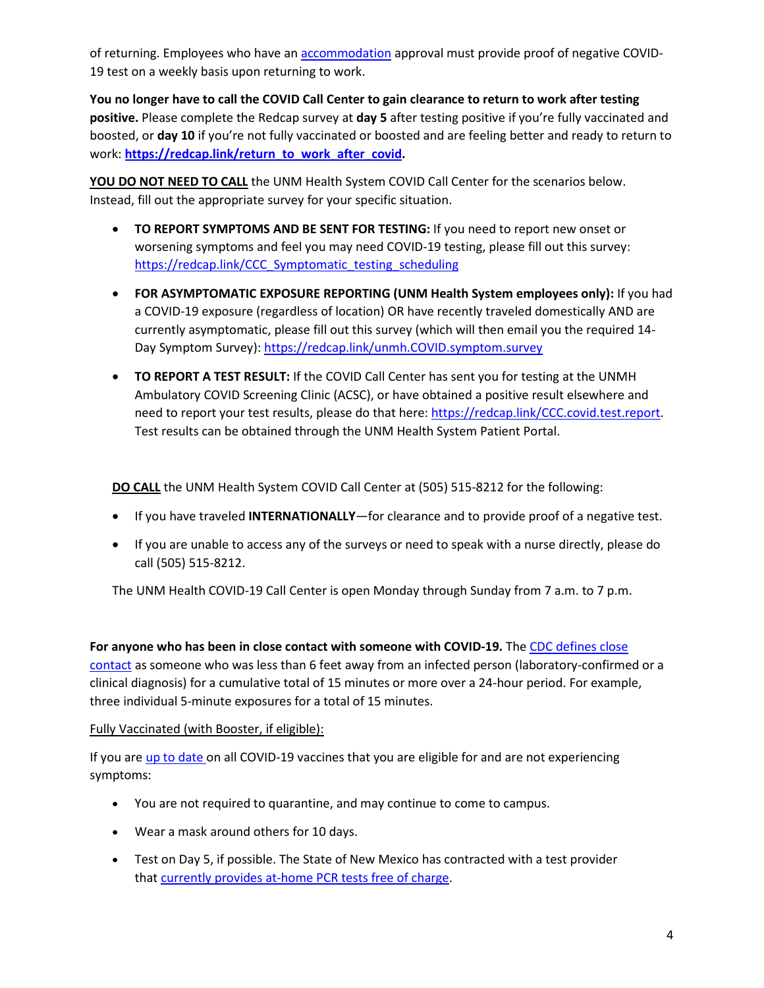of returning. Employees who have an [accommodation](https://bringbackthepack.unm.edu/vaccine/vaccine-requirement-exemption-forms.html) approval must provide proof of negative COVID-19 test on a weekly basis upon returning to work.

**You no longer have to call the COVID Call Center to gain clearance to return to work after testing positive.** Please complete the Redcap survey at **day 5** after testing positive if you're fully vaccinated and boosted, or **day 10** if you're not fully vaccinated or boosted and are feeling better and ready to return to work: **[https://redcap.link/return\\_to\\_work\\_after\\_covid.](https://redcap.link/return_to_work_after_covid)**

**YOU DO NOT NEED TO CALL** the UNM Health System COVID Call Center for the scenarios below. Instead, fill out the appropriate survey for your specific situation.

- **TO REPORT SYMPTOMS AND BE SENT FOR TESTING:** If you need to report new onset or worsening symptoms and feel you may need COVID-19 testing, please fill out this survey: [https://redcap.link/CCC\\_Symptomatic\\_testing\\_scheduling](https://redcap.link/CCC_Symptomatic_testing_scheduling)
- **FOR ASYMPTOMATIC EXPOSURE REPORTING (UNM Health System employees only):** If you had a COVID-19 exposure (regardless of location) OR have recently traveled domestically AND are currently asymptomatic, please fill out this survey (which will then email you the required 14- Day Symptom Survey)[: https://redcap.link/unmh.COVID.symptom.survey](https://redcap.link/unmh.COVID.symptom.survey)
- **TO REPORT A TEST RESULT:** If the COVID Call Center has sent you for testing at the UNMH Ambulatory COVID Screening Clinic (ACSC), or have obtained a positive result elsewhere and need to report your test results, please do that here: [https://redcap.link/CCC.covid.test.report.](https://redcap.link/CCC.covid.test.report) Test results can be obtained through the UNM Health System Patient Portal.

**DO CALL** the UNM Health System COVID Call Center at (505) 515-8212 for the following:

- If you have traveled **INTERNATIONALLY**—for clearance and to provide proof of a negative test.
- If you are unable to access any of the surveys or need to speak with a nurse directly, please do call (505) 515-8212.

The UNM Health COVID-19 Call Center is open Monday through Sunday from 7 a.m. to 7 p.m.

**For anyone who has been in close contact with someone with COVID-19.** The [CDC defines close](https://www.cdc.gov/coronavirus/2019-ncov/your-health/quarantine-isolation.html)  [contact](https://www.cdc.gov/coronavirus/2019-ncov/your-health/quarantine-isolation.html) as someone who was less than 6 feet away from an infected person (laboratory-confirmed or a clinical diagnosis) for a cumulative total of 15 minutes or more over a 24-hour period. For example, three individual 5-minute exposures for a total of 15 minutes.

## Fully Vaccinated (with Booster, if eligible):

If you are [up to date](https://na01.safelinks.protection.outlook.com/?url=https%3A%2F%2Fr20.rs6.net%2Ftn.jsp%3Ff%3D001zEW_QD1qUbeoFwCJfQhBsWn3VTl02GHVa4NoZe2CFg3iRwyqDb3NrVx7t8xWVhKFirmfvgIxrS7TelHUHuP5_mO-orANDvIjUMV3MfmRdsYC2NJgNDqFOVTU_WM10BWxGWwE2lai-j-xZiSN_qIrCqIBOKY9HEzWPGbMhrOXQmnKuUwC8SghCqjsoLNP_CpJd2SpMrvgVlhtseNcdPzmGFqmhDW3UEm7vQPf5DBR2FnsXO-TSaEJU_XlDXlWfBXQ0divWXhXw-2Lh15bML-AZz82Igfqwqvijt1XyQxqrN00qKrSOaOPJR-AhySR2pad83Ob6xt6Ff4mp0eG26GEO8y7MMFJdFyYVb2Q1wIPG6TQtI-d4sA4A-NDYYXBAZnvnreTSG45iUb--tmMdbxrk6HYBEWO_C_EdTrfWDvUBwx2Lb3Nb_GBVCygikhYzKBpAZ5czKVwF03PS65tUZjH5URZYl0Nb9qrP-eAengNac_Ak1YzAXqBssLzmvIoZZyXLvMlhsoNUdmu_iOFVAO2zwe7TAoRRkv55iHnT4Pwc_OLzWQ0T0oFvQVOH-PpAXadnu2E_DE4pc4bicVZQ-O7GUZ3Yg8shxHn9ceC79N8qxJRPUrJ3aaRi12XVTMU8BmEqLezkT3xV5DJouJij2nm4WzvbTZsDBubVpfc8bmAVtVdVDLl14oIBYKauq7BP3zIdF2-zQrKkP2qR2e0Zj4Y_BDyYbOtLpMzJVq-xzFMymZ0gxwGh_K38j8C3kN5AGT14lctQYyzz-hU4o3equj0xw%3D%3D%26c%3DUbq0MVDP8qvVai2pNrt5WTK3uFxO59mVbYHNNmpej7Dq9f_ObaP1zg%3D%3D%26ch%3D9obAI_VgKFGxv7xo6EmI7xYbEjjagoUsopLhQZqC9Yh358Ugd7rHug%3D%3D&data=04%7C01%7C%7C14b75a9644ed4c8b4a8308d9d1ea42d0%7C84df9e7fe9f640afb435aaaaaaaaaaaa%7C1%7C0%7C637771626363328348%7CUnknown%7CTWFpbGZsb3d8eyJWIjoiMC4wLjAwMDAiLCJQIjoiV2luMzIiLCJBTiI6Ik1haWwiLCJXVCI6Mn0%3D%7C3000&sdata=WW4T9%2FR0Kf8v19th6Pqu10H06yjX8oRGxBt8UKlXr5M%3D&reserved=0) on all COVID-19 vaccines that you are eligible for and are not experiencing symptoms:

- You are not required to quarantine, and may continue to come to campus.
- Wear a mask around others for 10 days.
- Test on Day 5, if possible. The State of New Mexico has contracted with a test provider that [currently provides at-home PCR tests free of charge.](https://learn.vaulthealth.com/nm/)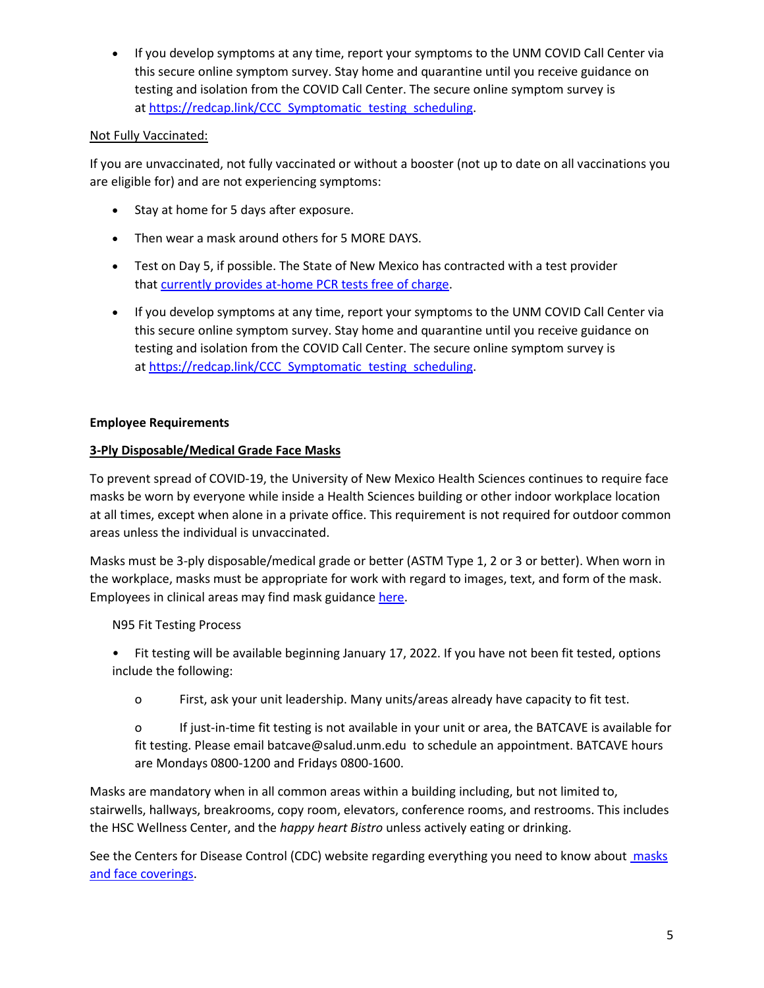• If you develop symptoms at any time, report your symptoms to the UNM COVID Call Center via this secure online symptom survey. Stay home and quarantine until you receive guidance on testing and isolation from the COVID Call Center. The secure online symptom survey is at [https://redcap.link/CCC\\_Symptomatic\\_testing\\_scheduling.](https://redcap.link/CCC_Symptomatic_testing_scheduling)

# Not Fully Vaccinated:

If you are unvaccinated, not fully vaccinated or without a booster (not up to date on all vaccinations you are eligible for) and are not experiencing symptoms:

- Stay at home for 5 days after exposure.
- Then wear a mask around others for 5 MORE DAYS.
- Test on Day 5, if possible. The State of New Mexico has contracted with a test provider that [currently provides at-home PCR tests free of charge.](https://learn.vaulthealth.com/nm/)
- If you develop symptoms at any time, report your symptoms to the UNM COVID Call Center via this secure online symptom survey. Stay home and quarantine until you receive guidance on testing and isolation from the COVID Call Center. The secure online symptom survey is at [https://redcap.link/CCC\\_Symptomatic\\_testing\\_scheduling.](https://redcap.link/CCC_Symptomatic_testing_scheduling)

## **Employee Requirements**

# **3-Ply Disposable/Medical Grade Face Masks**

To prevent spread of COVID-19, the University of New Mexico Health Sciences continues to require face masks be worn by everyone while inside a Health Sciences building or other indoor workplace location at all times, except when alone in a private office. This requirement is not required for outdoor common areas unless the individual is unvaccinated.

Masks must be 3-ply disposable/medical grade or better (ASTM Type 1, 2 or 3 or better). When worn in the workplace, masks must be appropriate for work with regard to images, text, and form of the mask. Employees in clinical areas may find mask guidanc[e here.](https://mcusercontent.com/59ce53c1a4dedb490bac78648/files/cd6c5a35-9911-0c19-df2a-dedb8c75328f/Updated_Guidance_from_the_PPE_Committee_Comm_1.13.22_v6.pdf)

N95 Fit Testing Process

• Fit testing will be available beginning January 17, 2022. If you have not been fit tested, options include the following:

o First, ask your unit leadership. Many units/areas already have capacity to fit test.

o If just-in-time fit testing is not available in your unit or area, the BATCAVE is available for fit testing. Please email batcave@salud.unm.edu to schedule an appointment. BATCAVE hours are Mondays 0800-1200 and Fridays 0800-1600.

Masks are mandatory when in all common areas within a building including, but not limited to, stairwells, hallways, breakrooms, copy room, elevators, conference rooms, and restrooms. This includes the HSC Wellness Center, and the *happy heart Bistro* unless actively eating or drinking.

See the Centers for Disease Control (CDC) website regarding everything you need to know about masks and [face coverings.](https://www.cdc.gov/coronavirus/2019-ncov/prevent-getting-sick/diy-cloth-face-coverings.html)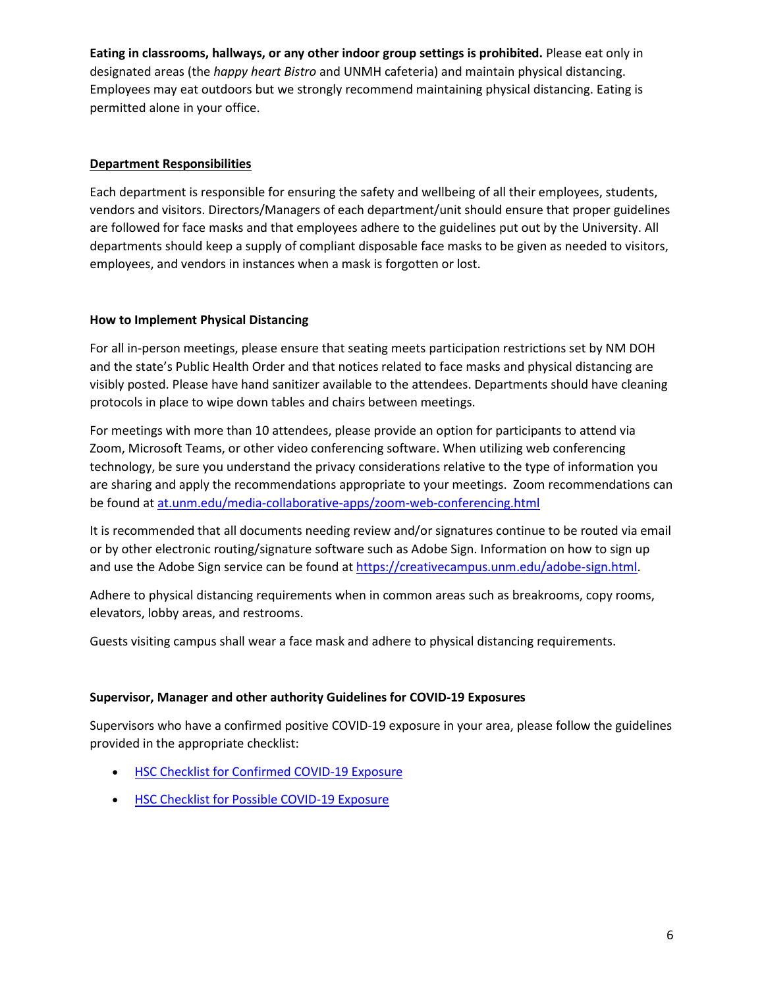**Eating in classrooms, hallways, or any other indoor group settings is prohibited.** Please eat only in designated areas (the *happy heart Bistro* and UNMH cafeteria) and maintain physical distancing. Employees may eat outdoors but we strongly recommend maintaining physical distancing. Eating is permitted alone in your office.

### **Department Responsibilities**

Each department is responsible for ensuring the safety and wellbeing of all their employees, students, vendors and visitors. Directors/Managers of each department/unit should ensure that proper guidelines are followed for face masks and that employees adhere to the guidelines put out by the University. All departments should keep a supply of compliant disposable face masks to be given as needed to visitors, employees, and vendors in instances when a mask is forgotten or lost.

### **How to Implement Physical Distancing**

For all in-person meetings, please ensure that seating meets participation restrictions set by NM DOH and the state's Public Health Order and that notices related to face masks and physical distancing are visibly posted. Please have hand sanitizer available to the attendees. Departments should have cleaning protocols in place to wipe down tables and chairs between meetings.

For meetings with more than 10 attendees, please provide an option for participants to attend via Zoom, Microsoft Teams, or other video conferencing software. When utilizing web conferencing technology, be sure you understand the privacy considerations relative to the type of information you are sharing and apply the recommendations appropriate to your meetings. Zoom recommendations can be found at [at.unm.edu/media-collaborative-apps/zoom-web-conferencing.html](http://at.unm.edu/media-collaborative-apps/zoom-web-conferencing.html)

It is recommended that all documents needing review and/or signatures continue to be routed via email or by other electronic routing/signature software such as Adobe Sign. Information on how to sign up and use the Adobe Sign service can be found a[t https://creativecampus.unm.edu/adobe-sign.html.](https://creativecampus.unm.edu/adobe-sign.html)

Adhere to physical distancing requirements when in common areas such as breakrooms, copy rooms, elevators, lobby areas, and restrooms.

Guests visiting campus shall wear a face mask and adhere to physical distancing requirements.

#### **Supervisor, Manager and other authority Guidelines for COVID-19 Exposures**

Supervisors who have a confirmed positive COVID-19 exposure in your area, please follow the guidelines provided in the appropriate checklist:

- [HSC Checklist for Confirmed COVID-19 Exposure](https://hsc.unm.edu/covid-19/media/documents/final-checklist-for-confirmed-covid-19-exposure-7-21.pdf)
- [HSC Checklist for Possible COVID-19 Exposure](https://hsc.unm.edu/covid-19/media/documents/final-checklist-for-possible-exposure-to-covid-19-7-21.pdf)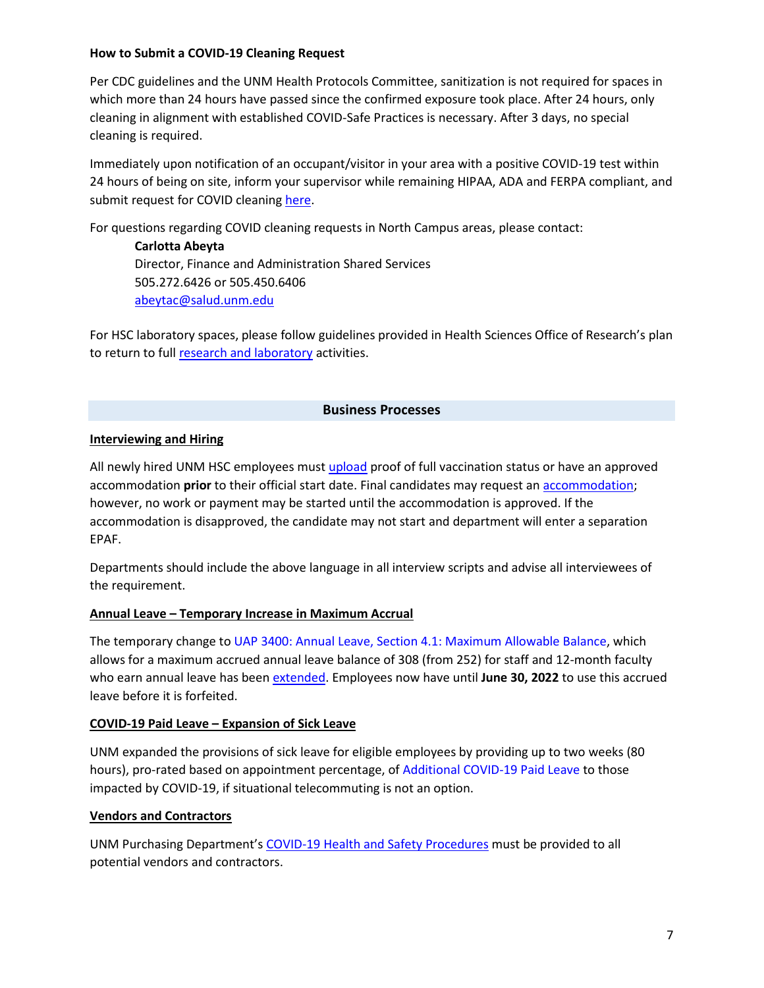#### **How to Submit a COVID-19 Cleaning Request**

Per CDC guidelines and the UNM Health Protocols Committee, sanitization is not required for spaces in which more than 24 hours have passed since the confirmed exposure took place. After 24 hours, only cleaning in alignment with established COVID-Safe Practices is necessary. After 3 days, no special cleaning is required.

Immediately upon notification of an occupant/visitor in your area with a positive COVID-19 test within 24 hours of being on site, inform your supervisor while remaining HIPAA, ADA and FERPA compliant, and submit request for COVID cleaning [here.](https://app.smartsheet.com/b/form/02246223b1e34c79967c71c887ea2826)

For questions regarding COVID cleaning requests in North Campus areas, please contact:

**Carlotta Abeyta** Director, Finance and Administration Shared Services 505.272.6426 or 505.450.6406 [abeytac@salud.unm.edu](mailto:abeytac@salud.unm.edu)

For HSC laboratory spaces, please follow guidelines provided in Health Sciences Office of Research's plan to return to ful[l research and laboratory](https://hsc.unm.edu/_docs/covid-researchers/research-7-23-2021-hsc-return-to-research-operations-guidance.pdf) activities.

### **Business Processes**

### **Interviewing and Hiring**

All newly hired UNM HSC employees must [upload](https://lobocheckin.unm.edu/checkin/svpfa/24) proof of full vaccination status or have an approved accommodation **prior** to their official start date. Final candidates may request an [accommodation;](https://bringbackthepack.unm.edu/vaccine/vaccine-requirement-exemption-forms.html) however, no work or payment may be started until the accommodation is approved. If the accommodation is disapproved, the candidate may not start and department will enter a separation EPAF.

Departments should include the above language in all interview scripts and advise all interviewees of the requirement.

#### **Annual Leave – Temporary Increase in Maximum Accrual**

The temporary change t[o UAP 3400: Annual Leave, Section 4.1: Maximum Allowable Balance,](https://policy.unm.edu/university-policies/3000/3400.html) which allows for a maximum accrued annual leave balance of 308 (from 252) for staff and 12-month faculty who earn annual leave has bee[n extended.](https://bringbackthepack.unm.edu/employees/temporary-annual-leave-policy.html) Employees now have until **June 30, 2022** to use this accrued leave before it is forfeited.

#### **COVID-19 Paid Leave – Expansion of Sick Leave**

UNM expanded the provisions of sick leave for eligible employees by providing up to two weeks (80 hours), pro-rated based on appointment percentage, of [Additional COVID-19 Paid Leave](https://bringbackthepack.unm.edu/employees/additional-covid-19-paid-leave.html) to those impacted by COVID-19, if situational telecommuting is not an option.

#### **Vendors and Contractors**

UNM Purchasing Department's [COVID-19 Health and Safety Procedures](http://purchase.unm.edu/covid-hsp-vendors.pdf) must be provided to all potential vendors and contractors.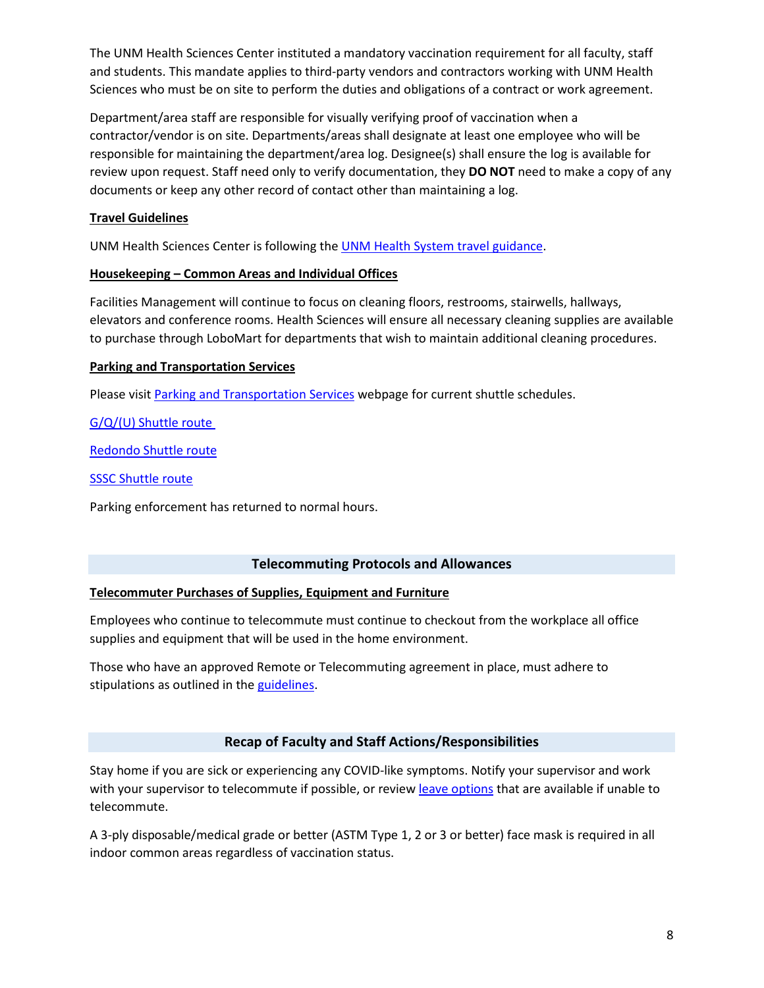The UNM Health Sciences Center instituted a mandatory vaccination requirement for all faculty, staff and students. This mandate applies to third-party vendors and contractors working with UNM Health Sciences who must be on site to perform the duties and obligations of a contract or work agreement.

Department/area staff are responsible for visually verifying proof of vaccination when a contractor/vendor is on site. Departments/areas shall designate at least one employee who will be responsible for maintaining the department/area log. Designee(s) shall ensure the log is available for review upon request. Staff need only to verify documentation, they **DO NOT** need to make a copy of any documents or keep any other record of contact other than maintaining a log.

# **Travel Guidelines**

UNM Health Sciences Center is following the [UNM Health System travel guidance.](https://hsc.unm.edu/covid-19/media/documents/unm-health-system-travel-guidance-7-1-21.pdf)

## **Housekeeping – Common Areas and Individual Offices**

Facilities Management will continue to focus on cleaning floors, restrooms, stairwells, hallways, elevators and conference rooms. Health Sciences will ensure all necessary cleaning supplies are available to purchase through LoboMart for departments that wish to maintain additional cleaning procedures.

# **Parking and Transportation Services**

Please visi[t Parking and Transportation](https://pats.unm.edu/shuttles/index.html) Services webpage for current shuttle schedules.

[G/Q/\(U\) Shuttle route](http://wmb.unm.edu/?busid=gqlot)

[Redondo Shuttle route](http://wmb.unm.edu/?busid=redondo)

[SSSC Shuttle route](http://wmb.unm.edu/?busid=lobovillage)

Parking enforcement has returned to normal hours.

## **Telecommuting Protocols and Allowances**

## **Telecommuter Purchases of Supplies, Equipment and Furniture**

Employees who continue to telecommute must continue to checkout from the workplace all office supplies and equipment that will be used in the home environment.

Those who have an approved Remote or Telecommuting agreement in place, must adhere to stipulations as outlined in th[e guidelines.](https://hr.unm.edu/docs/hr/remote-work-guidelines-for-in-state-staff.pdf)

# **Recap of Faculty and Staff Actions/Responsibilities**

Stay home if you are sick or experiencing any COVID-like symptoms. Notify your supervisor and work with your supervisor to telecommute if possible, or revie[w leave options](https://bringbackthepack.unm.edu/employees/additional-covid-19-paid-leave.html) that are available if unable to telecommute.

A 3-ply disposable/medical grade or better (ASTM Type 1, 2 or 3 or better) face mask is required in all indoor common areas regardless of vaccination status.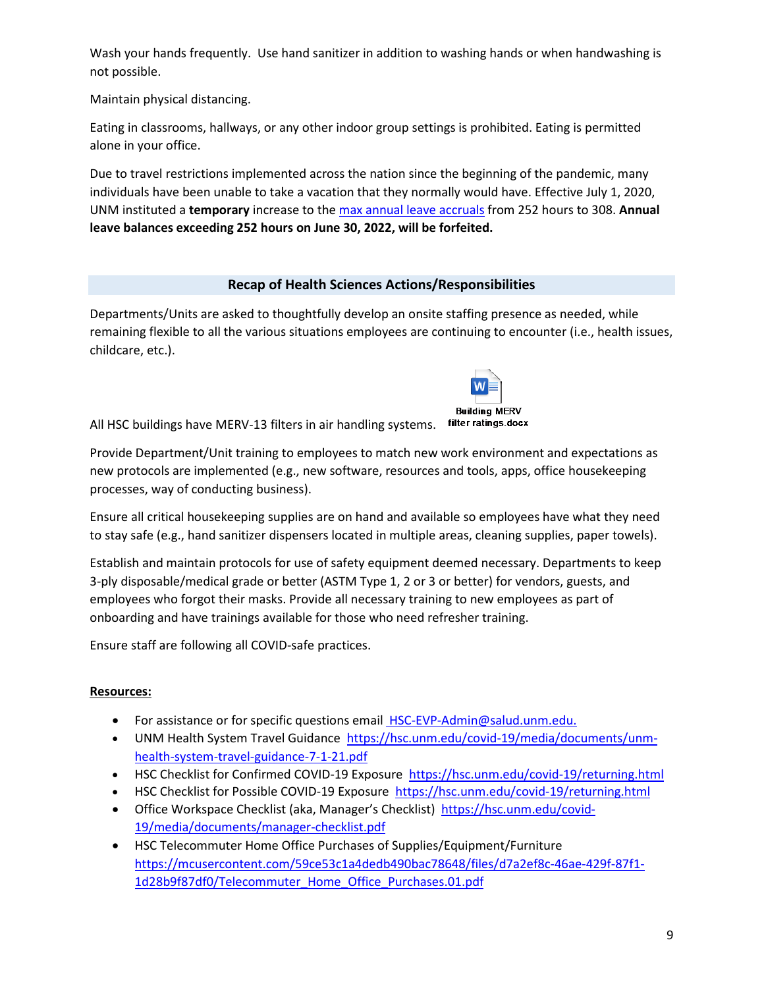Wash your hands frequently. Use hand sanitizer in addition to washing hands or when handwashing is not possible.

Maintain physical distancing.

Eating in classrooms, hallways, or any other indoor group settings is prohibited. Eating is permitted alone in your office.

Due to travel restrictions implemented across the nation since the beginning of the pandemic, many individuals have been unable to take a vacation that they normally would have. Effective July 1, 2020, UNM instituted a **temporary** increase to the [max annual leave accruals](https://bringbackthepack.unm.edu/employees/temporary-annual-leave-policy.html) from 252 hours to 308. **Annual leave balances exceeding 252 hours on June 30, 2022, will be forfeited.** 

# **Recap of Health Sciences Actions/Responsibilities**

Departments/Units are asked to thoughtfully develop an onsite staffing presence as needed, while remaining flexible to all the various situations employees are continuing to encounter (i.e., health issues, childcare, etc.).



All HSC buildings have MERV-13 filters in air handling systems. filter ratings.docx

Provide Department/Unit training to employees to match new work environment and expectations as new protocols are implemented (e.g., new software, resources and tools, apps, office housekeeping processes, way of conducting business).

Ensure all critical housekeeping supplies are on hand and available so employees have what they need to stay safe (e.g., hand sanitizer dispensers located in multiple areas, cleaning supplies, paper towels).

Establish and maintain protocols for use of safety equipment deemed necessary. Departments to keep 3-ply disposable/medical grade or better (ASTM Type 1, 2 or 3 or better) for vendors, guests, and employees who forgot their masks. Provide all necessary training to new employees as part of onboarding and have trainings available for those who need refresher training.

Ensure staff are following all COVID-safe practices.

## **Resources:**

- For assistance or for specific questions email [HSC-EVP-Admin@salud.unm.edu.](mailto:HSC-EVP-Admin@salud.unm.edu)
- UNM Health System Travel Guidance [https://hsc.unm.edu/covid-19/media/documents/unm](https://hsc.unm.edu/covid-19/media/documents/unm-health-system-travel-guidance-7-1-21.pdf)[health-system-travel-guidance-7-1-21.pdf](https://hsc.unm.edu/covid-19/media/documents/unm-health-system-travel-guidance-7-1-21.pdf)
- HSC Checklist for Confirmed COVID-19 Exposure<https://hsc.unm.edu/covid-19/returning.html>
- HSC Checklist for Possible COVID-19 Exposure <https://hsc.unm.edu/covid-19/returning.html>
- Office Workspace Checklist (aka, Manager's Checklist) [https://hsc.unm.edu/covid-](https://hsc.unm.edu/covid-19/media/documents/manager-checklist.pdf)[19/media/documents/manager-checklist.pdf](https://hsc.unm.edu/covid-19/media/documents/manager-checklist.pdf)
- HSC Telecommuter Home Office Purchases of Supplies/Equipment/Furniture [https://mcusercontent.com/59ce53c1a4dedb490bac78648/files/d7a2ef8c-46ae-429f-87f1-](https://mcusercontent.com/59ce53c1a4dedb490bac78648/files/d7a2ef8c-46ae-429f-87f1-1d28b9f87df0/Telecommuter_Home_Office_Purchases.01.pdf) [1d28b9f87df0/Telecommuter\\_Home\\_Office\\_Purchases.01.pdf](https://mcusercontent.com/59ce53c1a4dedb490bac78648/files/d7a2ef8c-46ae-429f-87f1-1d28b9f87df0/Telecommuter_Home_Office_Purchases.01.pdf)